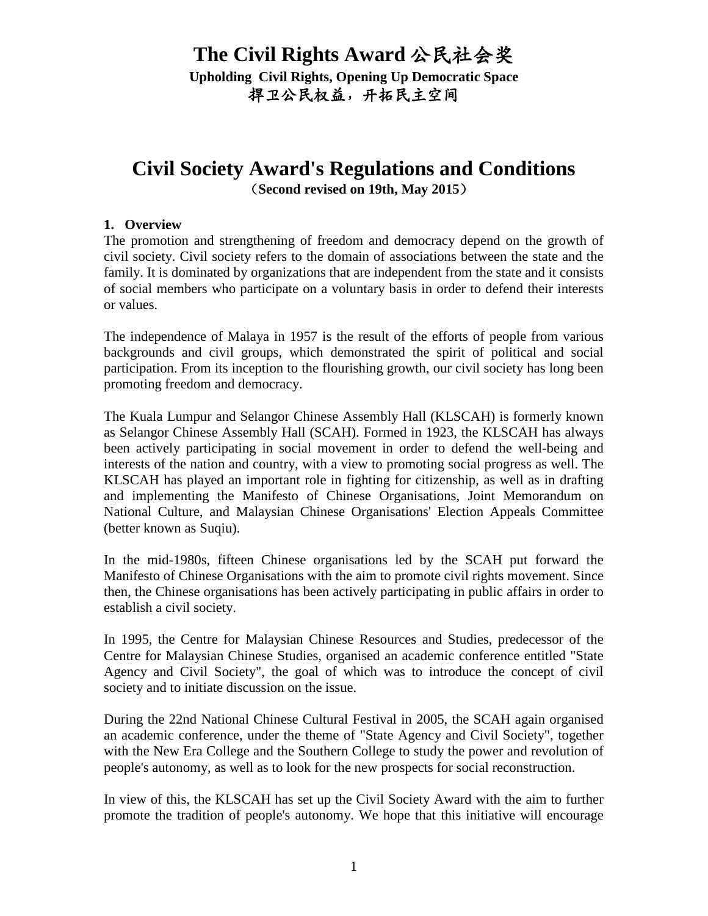**Upholding Civil Rights, Opening Up Democratic Space** 捍卫公民权益,开拓民主空间

# **Civil Society Award's Regulations and Conditions**(**Second revised on 19th, May 2015**)

#### **1. Overview**

The promotion and strengthening of freedom and democracy depend on the growth of civil society. Civil society refers to the domain of associations between the state and the family. It is dominated by organizations that are independent from the state and it consists of social members who participate on a voluntary basis in order to defend their interests or values.

The independence of Malaya in 1957 is the result of the efforts of people from various backgrounds and civil groups, which demonstrated the spirit of political and social participation. From its inception to the flourishing growth, our civil society has long been promoting freedom and democracy.

The Kuala Lumpur and Selangor Chinese Assembly Hall (KLSCAH) is formerly known as Selangor Chinese Assembly Hall (SCAH). Formed in 1923, the KLSCAH has always been actively participating in social movement in order to defend the well-being and interests of the nation and country, with a view to promoting social progress as well. The KLSCAH has played an important role in fighting for citizenship, as well as in drafting and implementing the Manifesto of Chinese Organisations, Joint Memorandum on National Culture, and Malaysian Chinese Organisations' Election Appeals Committee (better known as Suqiu).

In the mid-1980s, fifteen Chinese organisations led by the SCAH put forward the Manifesto of Chinese Organisations with the aim to promote civil rights movement. Since then, the Chinese organisations has been actively participating in public affairs in order to establish a civil society.

In 1995, the Centre for Malaysian Chinese Resources and Studies, predecessor of the Centre for Malaysian Chinese Studies, organised an academic conference entitled "State Agency and Civil Society", the goal of which was to introduce the concept of civil society and to initiate discussion on the issue.

During the 22nd National Chinese Cultural Festival in 2005, the SCAH again organised an academic conference, under the theme of "State Agency and Civil Society", together with the New Era College and the Southern College to study the power and revolution of people's autonomy, as well as to look for the new prospects for social reconstruction.

In view of this, the KLSCAH has set up the Civil Society Award with the aim to further promote the tradition of people's autonomy. We hope that this initiative will encourage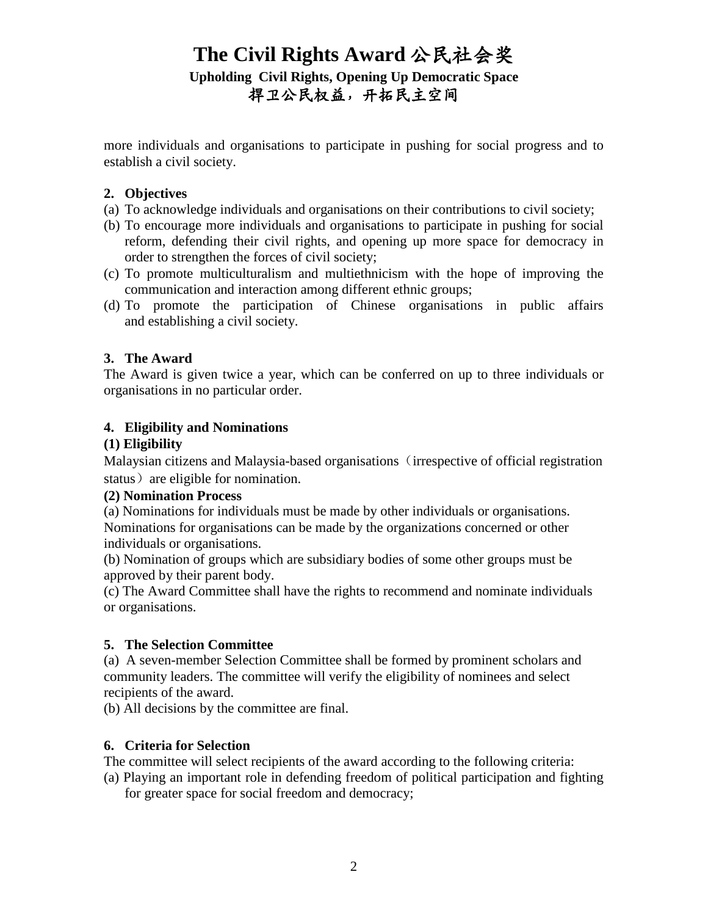# **The Civil Rights Award** 公民社会奖 **Upholding Civil Rights, Opening Up Democratic Space** 捍卫公民权益,开拓民主空间

more individuals and organisations to participate in pushing for social progress and to establish a civil society.

#### **2. Objectives**

- (a) To acknowledge individuals and organisations on their contributions to civil society;
- (b) To encourage more individuals and organisations to participate in pushing for social reform, defending their civil rights, and opening up more space for democracy in order to strengthen the forces of civil society;
- (c) To promote multiculturalism and multiethnicism with the hope of improving the communication and interaction among different ethnic groups;
- (d) To promote the participation of Chinese organisations in public affairs and establishing a civil society.

#### **3. The Award**

The Award is given twice a year, which can be conferred on up to three individuals or organisations in no particular order.

#### **4. Eligibility and Nominations**

#### **(1) Eligibility**

Malaysian citizens and Malaysia-based organisations (irrespective of official registration status) are eligible for nomination.

#### **(2) Nomination Process**

(a) Nominations for individuals must be made by other individuals or organisations. Nominations for organisations can be made by the organizations concerned or other individuals or organisations.

(b) Nomination of groups which are subsidiary bodies of some other groups must be approved by their parent body.

(c) The Award Committee shall have the rights to recommend and nominate individuals or organisations.

#### **5. The Selection Committee**

(a) A seven-member Selection Committee shall be formed by prominent scholars and community leaders. The committee will verify the eligibility of nominees and select recipients of the award.

(b) All decisions by the committee are final.

#### **6. Criteria for Selection**

The committee will select recipients of the award according to the following criteria:

(a) Playing an important role in defending freedom of political participation and fighting for greater space for social freedom and democracy;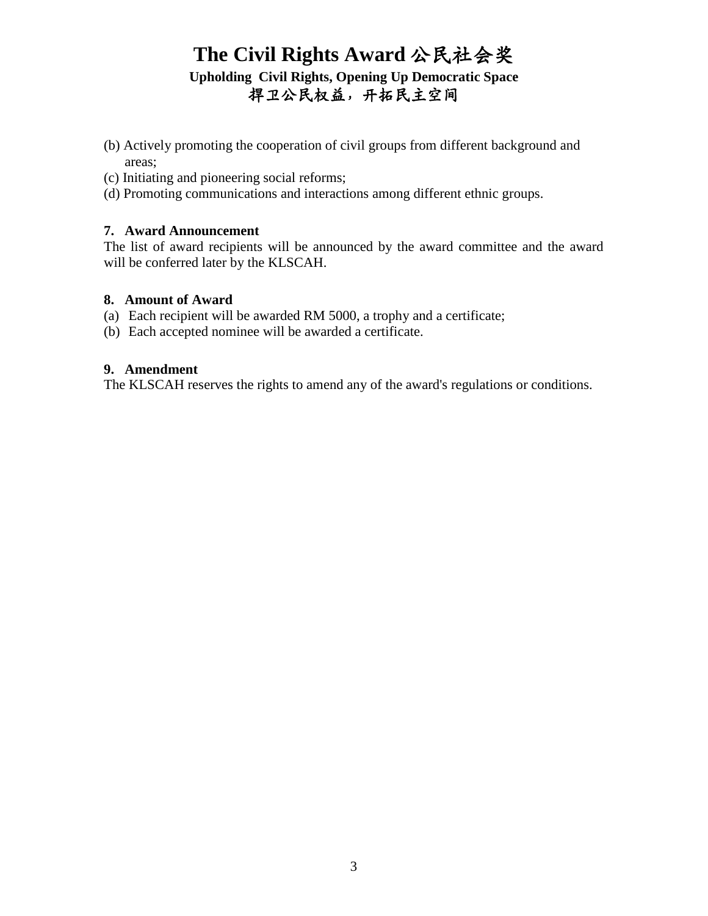# **The Civil Rights Award** 公民社会奖 **Upholding Civil Rights, Opening Up Democratic Space** 捍卫公民权益,开拓民主空间

- (b) Actively promoting the cooperation of civil groups from different background and areas;
- (c) Initiating and pioneering social reforms;
- (d) Promoting communications and interactions among different ethnic groups.

#### **7. Award Announcement**

The list of award recipients will be announced by the award committee and the award will be conferred later by the KLSCAH.

#### **8. Amount of Award**

- (a) Each recipient will be awarded RM 5000, a trophy and a certificate;
- (b) Each accepted nominee will be awarded a certificate.

#### **9. Amendment**

The KLSCAH reserves the rights to amend any of the award's regulations or conditions.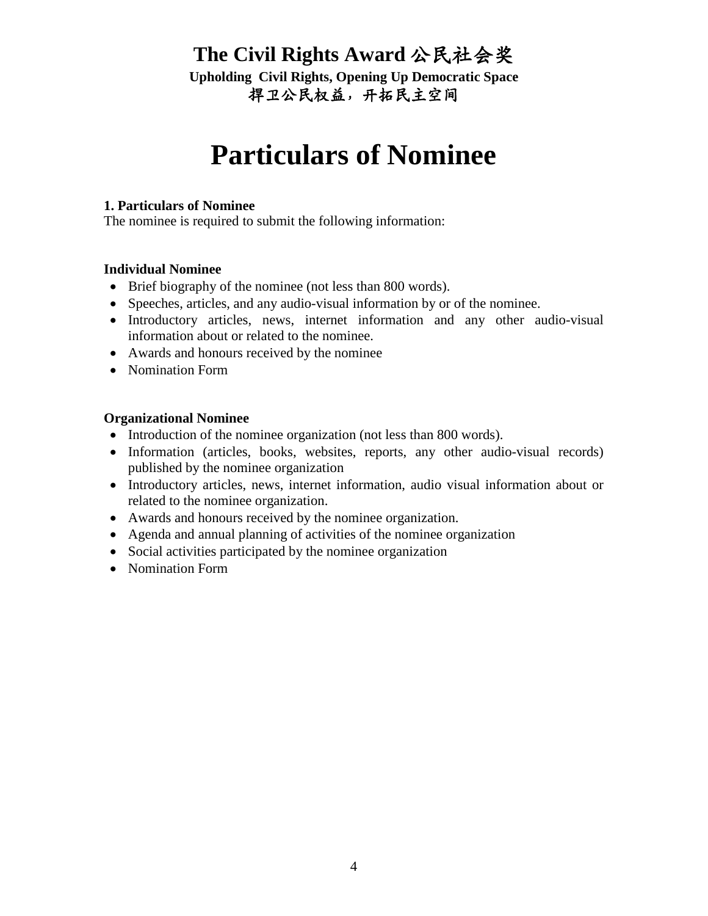**Upholding Civil Rights, Opening Up Democratic Space** 捍卫公民权益,开拓民主空间

# **Particulars of Nominee**

#### **1. Particulars of Nominee**

The nominee is required to submit the following information:

#### **Individual Nominee**

- Brief biography of the nominee (not less than 800 words).
- Speeches, articles, and any audio-visual information by or of the nominee.
- Introductory articles, news, internet information and any other audio-visual information about or related to the nominee.
- Awards and honours received by the nominee
- Nomination Form

#### **Organizational Nominee**

- Introduction of the nominee organization (not less than 800 words).
- Information (articles, books, websites, reports, any other audio-visual records) published by the nominee organization
- Introductory articles, news, internet information, audio visual information about or related to the nominee organization.
- Awards and honours received by the nominee organization.
- Agenda and annual planning of activities of the nominee organization
- Social activities participated by the nominee organization
- Nomination Form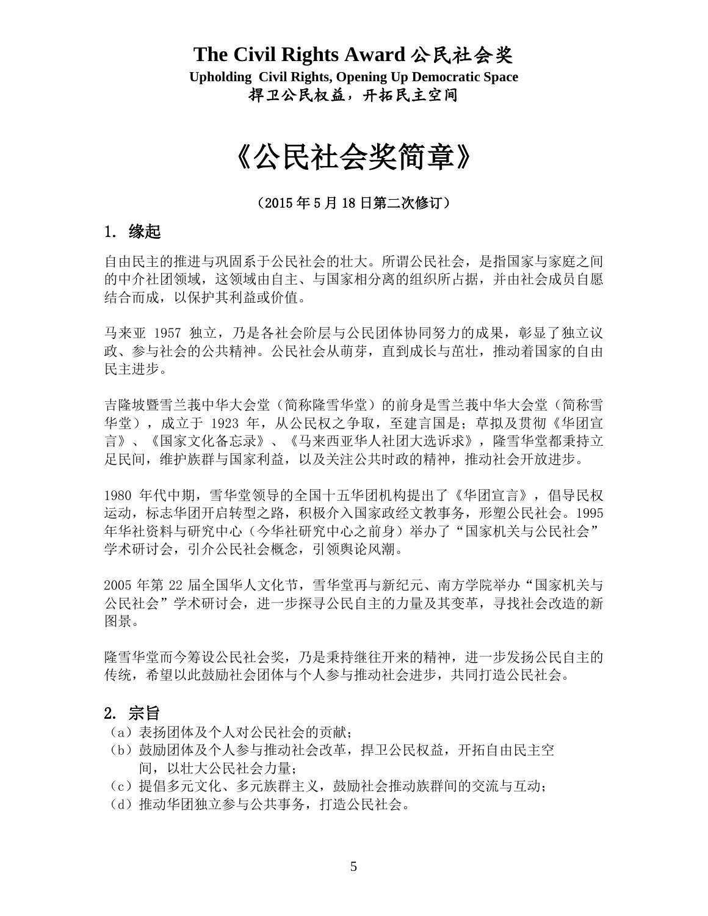**Upholding Civil Rights, Opening Up Democratic Space** 捍卫公民权益,开拓民主空间

# 《公民社会奖简章》

(2015 年 5 月 18 日第二次修订)

# 1. 缘起

自由民主的推进与巩固系于公民社会的壮大。所谓公民社会,是指国家与家庭之间 的中介社团领域,这领域由自主、与国家相分离的组织所占据,并由社会成员自愿 结合而成,以保护其利益或价值。

马来亚 1957 独立,乃是各社会阶层与公民团体协同努力的成果,彰显了独立议 政、参与社会的公共精神。公民社会从萌芽,直到成长与茁壮,推动着国家的自由 民主进步。

吉隆坡暨雪兰莪中华大会堂(简称隆雪华堂)的前身是雪兰莪中华大会堂(简称雪 华堂),成立于 1923 年,从公民权之争取,至建言国是;草拟及贯彻《华团宣 言》、《国家文化备忘录》、《马来西亚华人社团大选诉求》,隆雪华堂都秉持立 足民间,维护族群与国家利益,以及关注公共时政的精神,推动社会开放进步。

1980 年代中期,雪华堂领导的全国十五华团机构提出了《华团宣言》,倡导民权 运动,标志华团开启转型之路,积极介入国家政经文教事务,形塑公民社会。1995 年华社资料与研究中心(今华社研究中心之前身)举办了"国家机关与公民社会" 学术研讨会,引介公民社会概念,引领舆论风潮。

2005 年第 22 届全国华人文化节,雪华堂再与新纪元、南方学院举办"国家机关与 公民社会"学术研讨会,进一步探寻公民自主的力量及其变革,寻找社会改造的新 图景。

隆雪华堂而今筹设公民社会奖,乃是秉持继往开来的精神,进一步发扬公民自主的 传统,希望以此鼓励社会团体与个人参与推动社会进步,共同打造公民社会。

## 2. 宗旨

- (a)表扬团体及个人对公民社会的贡献;
- (b)鼓励团体及个人参与推动社会改革,捍卫公民权益,开拓自由民主空 间,以壮大公民社会力量;
- (c)提倡多元文化、多元族群主义,鼓励社会推动族群间的交流与互动;
- (d)推动华团独立参与公共事务,打造公民社会。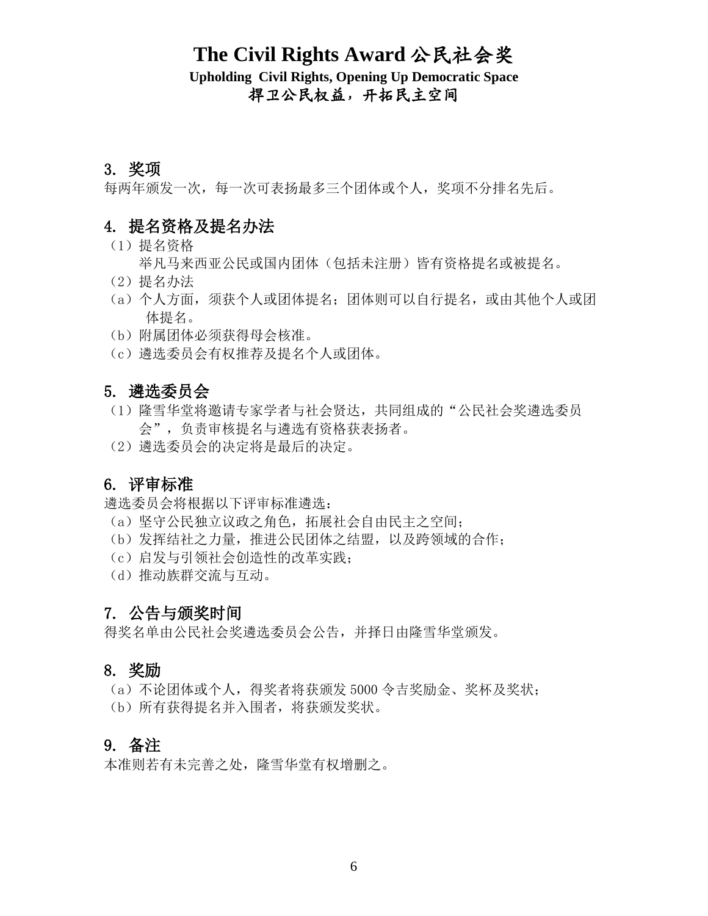**Upholding Civil Rights, Opening Up Democratic Space** 捍卫公民权益,开拓民主空间

## 3. 奖项

每两年颁发一次,每一次可表扬最多三个团体或个人,奖项不分排名先后。

## 4. 提名资格及提名办法

- (1)提名资格
	- 举凡马来西亚公民或国内团体(包括未注册)皆有资格提名或被提名。
- (2)提名办法
- (a)个人方面,须获个人或团体提名;团体则可以自行提名,或由其他个人或团 体提名。
- (b)附属团体必须获得母会核准。
- (c)遴选委员会有权推荐及提名个人或团体。

### 5. 遴选委员会

- (1)隆雪华堂将邀请专家学者与社会贤达,共同组成的"公民社会奖遴选委员 会",负责审核提名与遴选有资格获表扬者。
- (2)遴选委员会的决定将是最后的决定。

## 6. 评审标准

遴选委员会将根据以下评审标准遴选:

- (a)坚守公民独立议政之角色,拓展社会自由民主之空间;
- (b)发挥结社之力量,推进公民团体之结盟,以及跨领域的合作;
- (c)启发与引领社会创造性的改革实践;
- (d)推动族群交流与互动。

## 7. 公告与颁奖时间

得奖名单由公民社会奖遴选委员会公告,并择日由隆雪华堂颁发。

## 8. 奖励

(a)不论团体或个人,得奖者将获颁发 5000 令吉奖励金、奖杯及奖状; (b)所有获得提名并入围者,将获颁发奖状。

### 9. 备注

本准则若有未完善之处,隆雪华堂有权增删之。